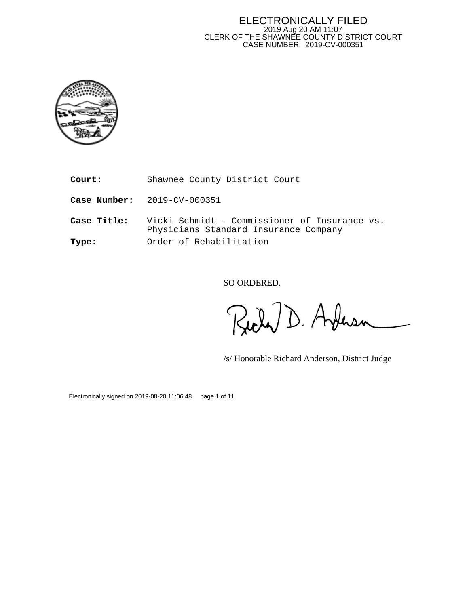#### ELECTRONICALLY FILED 2019 Aug 20 AM 11:07 CLERK OF THE SHAWNEE COUNTY DISTRICT COURT CASE NUMBER: 2019-CV-000351



**Court:** Shawnee County District Court

**Case Number:** 2019-CV-000351

**Case Title:** Vicki Schmidt - Commissioner of Insurance vs. Physicians Standard Insurance Company **Type:** Order of Rehabilitation

SO ORDERED.

D. Ardensa

/s/ Honorable Richard Anderson, District Judge

Electronically signed on 2019-08-20 11:06:48 page 1 of 11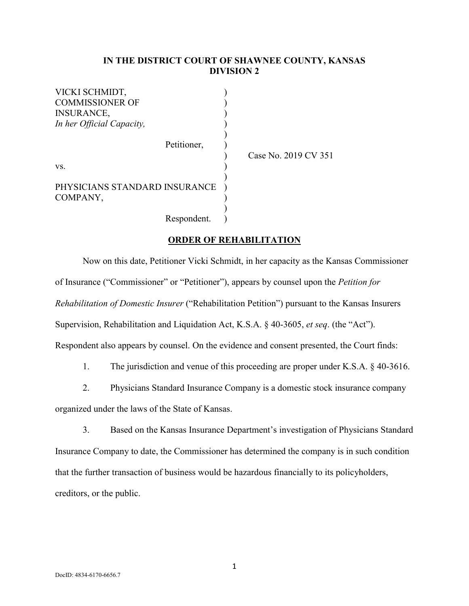### **IN THE DISTRICT COURT OF SHAWNEE COUNTY, KANSAS DIVISION 2**

)

VICKI SCHMIDT, ) COMMISSIONER OF  $\qquad \qquad$  ) INSURANCE, ) *In her Official Capacity,*  $($ Petitioner,

 $\mathbf{v}\mathbf{s}$ .

COMPANY,

) PHYSICIANS STANDARD INSURANCE )

) Case No. 2019 CV 351

Respondent. )

## **ORDER OF REHABILITATION**

)

 Now on this date, Petitioner Vicki Schmidt, in her capacity as the Kansas Commissioner of Insurance ("Commissioner" or "Petitioner"), appears by counsel upon the *Petition for Rehabilitation of Domestic Insurer* ("Rehabilitation Petition") pursuant to the Kansas Insurers Supervision, Rehabilitation and Liquidation Act, K.S.A. § 40-3605, *et seq*. (the "Act"). Respondent also appears by counsel. On the evidence and consent presented, the Court finds:

1. The jurisdiction and venue of this proceeding are proper under K.S.A. § 40-3616.

2. Physicians Standard Insurance Company is a domestic stock insurance company

organized under the laws of the State of Kansas.

3. Based on the Kansas Insurance Department's investigation of Physicians Standard Insurance Company to date, the Commissioner has determined the company is in such condition that the further transaction of business would be hazardous financially to its policyholders, creditors, or the public.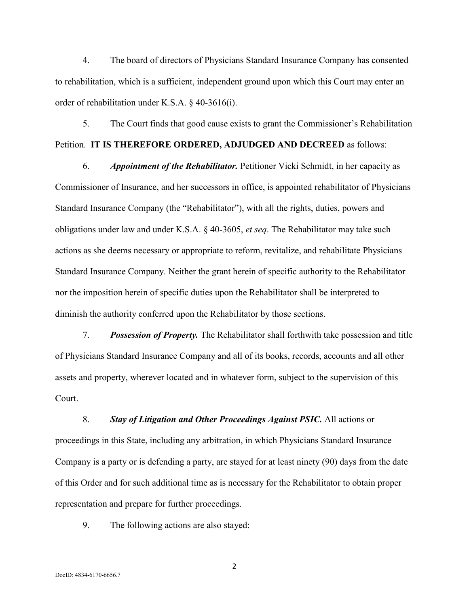4. The board of directors of Physicians Standard Insurance Company has consented to rehabilitation, which is a sufficient, independent ground upon which this Court may enter an order of rehabilitation under K.S.A. § 40-3616(i).

5. The Court finds that good cause exists to grant the Commissioner's Rehabilitation Petition. **IT IS THEREFORE ORDERED, ADJUDGED AND DECREED** as follows:

6. *Appointment of the Rehabilitator.* Petitioner Vicki Schmidt, in her capacity as Commissioner of Insurance, and her successors in office, is appointed rehabilitator of Physicians Standard Insurance Company (the "Rehabilitator"), with all the rights, duties, powers and obligations under law and under K.S.A. § 40-3605, *et seq*. The Rehabilitator may take such actions as she deems necessary or appropriate to reform, revitalize, and rehabilitate Physicians Standard Insurance Company. Neither the grant herein of specific authority to the Rehabilitator nor the imposition herein of specific duties upon the Rehabilitator shall be interpreted to diminish the authority conferred upon the Rehabilitator by those sections.

7. *Possession of Property.* The Rehabilitator shall forthwith take possession and title of Physicians Standard Insurance Company and all of its books, records, accounts and all other assets and property, wherever located and in whatever form, subject to the supervision of this Court.

8. *Stay of Litigation and Other Proceedings Against PSIC.* All actions or proceedings in this State, including any arbitration, in which Physicians Standard Insurance Company is a party or is defending a party, are stayed for at least ninety (90) days from the date of this Order and for such additional time as is necessary for the Rehabilitator to obtain proper representation and prepare for further proceedings.

9. The following actions are also stayed: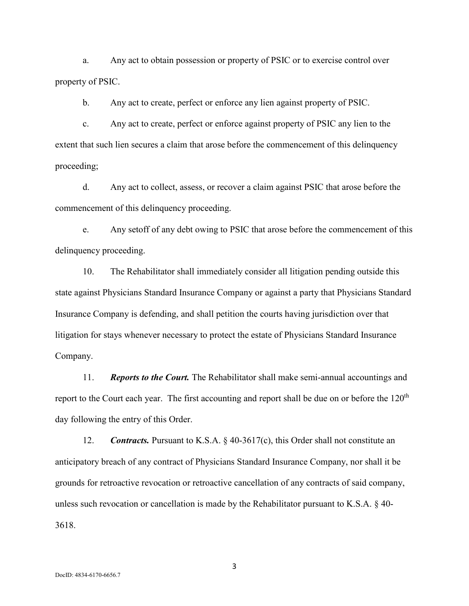a. Any act to obtain possession or property of PSIC or to exercise control over property of PSIC.

b. Any act to create, perfect or enforce any lien against property of PSIC.

c. Any act to create, perfect or enforce against property of PSIC any lien to the extent that such lien secures a claim that arose before the commencement of this delinquency proceeding;

d. Any act to collect, assess, or recover a claim against PSIC that arose before the commencement of this delinquency proceeding.

e. Any setoff of any debt owing to PSIC that arose before the commencement of this delinquency proceeding.

10. The Rehabilitator shall immediately consider all litigation pending outside this state against Physicians Standard Insurance Company or against a party that Physicians Standard Insurance Company is defending, and shall petition the courts having jurisdiction over that litigation for stays whenever necessary to protect the estate of Physicians Standard Insurance Company.

11. *Reports to the Court.* The Rehabilitator shall make semi-annual accountings and report to the Court each year. The first accounting and report shall be due on or before the  $120<sup>th</sup>$ day following the entry of this Order.

12. *Contracts.* Pursuant to K.S.A. § 40-3617(c), this Order shall not constitute an anticipatory breach of any contract of Physicians Standard Insurance Company, nor shall it be grounds for retroactive revocation or retroactive cancellation of any contracts of said company, unless such revocation or cancellation is made by the Rehabilitator pursuant to K.S.A. § 40- 3618.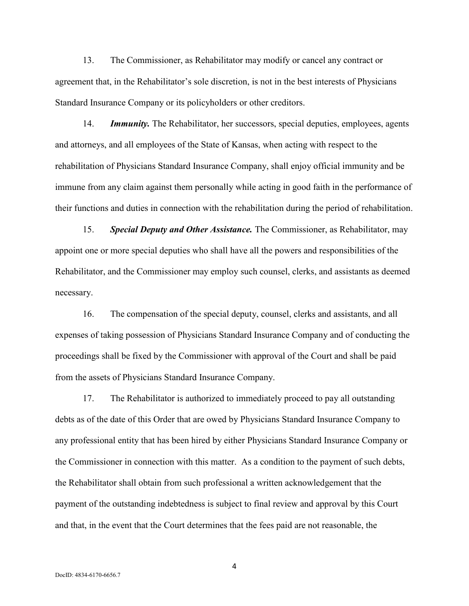13. The Commissioner, as Rehabilitator may modify or cancel any contract or agreement that, in the Rehabilitator's sole discretion, is not in the best interests of Physicians Standard Insurance Company or its policyholders or other creditors.

14. *Immunity.* The Rehabilitator, her successors, special deputies, employees, agents and attorneys, and all employees of the State of Kansas, when acting with respect to the rehabilitation of Physicians Standard Insurance Company, shall enjoy official immunity and be immune from any claim against them personally while acting in good faith in the performance of their functions and duties in connection with the rehabilitation during the period of rehabilitation.

15. *Special Deputy and Other Assistance.* The Commissioner, as Rehabilitator, may appoint one or more special deputies who shall have all the powers and responsibilities of the Rehabilitator, and the Commissioner may employ such counsel, clerks, and assistants as deemed necessary.

16. The compensation of the special deputy, counsel, clerks and assistants, and all expenses of taking possession of Physicians Standard Insurance Company and of conducting the proceedings shall be fixed by the Commissioner with approval of the Court and shall be paid from the assets of Physicians Standard Insurance Company.

17. The Rehabilitator is authorized to immediately proceed to pay all outstanding debts as of the date of this Order that are owed by Physicians Standard Insurance Company to any professional entity that has been hired by either Physicians Standard Insurance Company or the Commissioner in connection with this matter. As a condition to the payment of such debts, the Rehabilitator shall obtain from such professional a written acknowledgement that the payment of the outstanding indebtedness is subject to final review and approval by this Court and that, in the event that the Court determines that the fees paid are not reasonable, the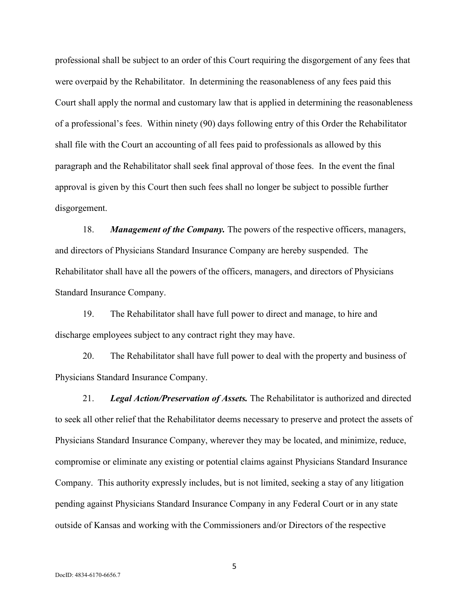professional shall be subject to an order of this Court requiring the disgorgement of any fees that were overpaid by the Rehabilitator. In determining the reasonableness of any fees paid this Court shall apply the normal and customary law that is applied in determining the reasonableness of a professional's fees. Within ninety (90) days following entry of this Order the Rehabilitator shall file with the Court an accounting of all fees paid to professionals as allowed by this paragraph and the Rehabilitator shall seek final approval of those fees. In the event the final approval is given by this Court then such fees shall no longer be subject to possible further disgorgement.

18. *Management of the Company.* The powers of the respective officers, managers, and directors of Physicians Standard Insurance Company are hereby suspended. The Rehabilitator shall have all the powers of the officers, managers, and directors of Physicians Standard Insurance Company.

19. The Rehabilitator shall have full power to direct and manage, to hire and discharge employees subject to any contract right they may have.

20. The Rehabilitator shall have full power to deal with the property and business of Physicians Standard Insurance Company.

21. *Legal Action/Preservation of Assets.* The Rehabilitator is authorized and directed to seek all other relief that the Rehabilitator deems necessary to preserve and protect the assets of Physicians Standard Insurance Company, wherever they may be located, and minimize, reduce, compromise or eliminate any existing or potential claims against Physicians Standard Insurance Company. This authority expressly includes, but is not limited, seeking a stay of any litigation pending against Physicians Standard Insurance Company in any Federal Court or in any state outside of Kansas and working with the Commissioners and/or Directors of the respective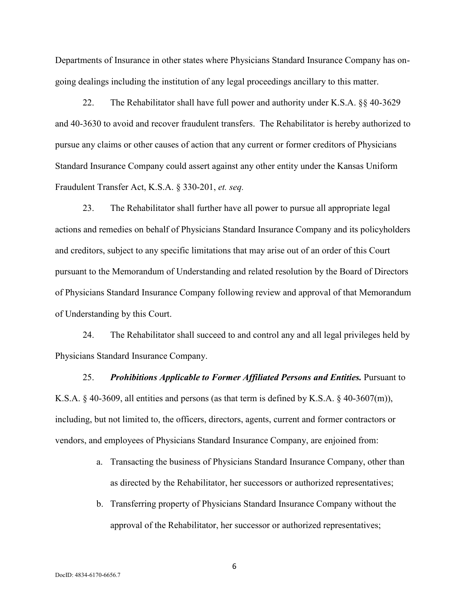Departments of Insurance in other states where Physicians Standard Insurance Company has ongoing dealings including the institution of any legal proceedings ancillary to this matter.

22. The Rehabilitator shall have full power and authority under K.S.A. §§ 40-3629 and 40-3630 to avoid and recover fraudulent transfers. The Rehabilitator is hereby authorized to pursue any claims or other causes of action that any current or former creditors of Physicians Standard Insurance Company could assert against any other entity under the Kansas Uniform Fraudulent Transfer Act, K.S.A. § 330-201, *et. seq.*

23. The Rehabilitator shall further have all power to pursue all appropriate legal actions and remedies on behalf of Physicians Standard Insurance Company and its policyholders and creditors, subject to any specific limitations that may arise out of an order of this Court pursuant to the Memorandum of Understanding and related resolution by the Board of Directors of Physicians Standard Insurance Company following review and approval of that Memorandum of Understanding by this Court.

24. The Rehabilitator shall succeed to and control any and all legal privileges held by Physicians Standard Insurance Company.

25. *Prohibitions Applicable to Former Affiliated Persons and Entities.* Pursuant to K.S.A.  $\S$  40-3609, all entities and persons (as that term is defined by K.S.A.  $\S$  40-3607(m)), including, but not limited to, the officers, directors, agents, current and former contractors or vendors, and employees of Physicians Standard Insurance Company, are enjoined from:

- a. Transacting the business of Physicians Standard Insurance Company, other than as directed by the Rehabilitator, her successors or authorized representatives;
- b. Transferring property of Physicians Standard Insurance Company without the approval of the Rehabilitator, her successor or authorized representatives;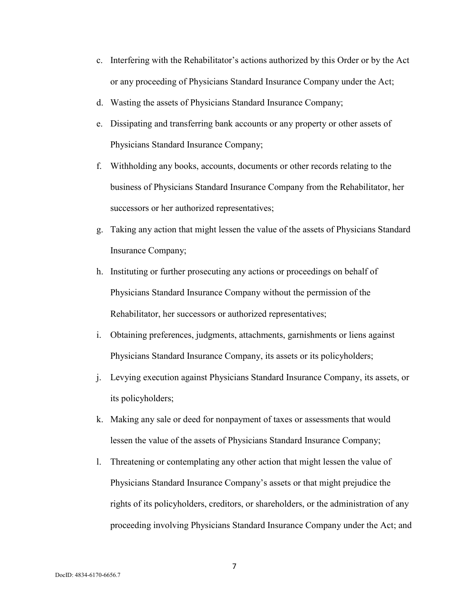- c. Interfering with the Rehabilitator's actions authorized by this Order or by the Act or any proceeding of Physicians Standard Insurance Company under the Act;
- d. Wasting the assets of Physicians Standard Insurance Company;
- e. Dissipating and transferring bank accounts or any property or other assets of Physicians Standard Insurance Company;
- f. Withholding any books, accounts, documents or other records relating to the business of Physicians Standard Insurance Company from the Rehabilitator, her successors or her authorized representatives;
- g. Taking any action that might lessen the value of the assets of Physicians Standard Insurance Company;
- h. Instituting or further prosecuting any actions or proceedings on behalf of Physicians Standard Insurance Company without the permission of the Rehabilitator, her successors or authorized representatives;
- i. Obtaining preferences, judgments, attachments, garnishments or liens against Physicians Standard Insurance Company, its assets or its policyholders;
- j. Levying execution against Physicians Standard Insurance Company, its assets, or its policyholders;
- k. Making any sale or deed for nonpayment of taxes or assessments that would lessen the value of the assets of Physicians Standard Insurance Company;
- l. Threatening or contemplating any other action that might lessen the value of Physicians Standard Insurance Company's assets or that might prejudice the rights of its policyholders, creditors, or shareholders, or the administration of any proceeding involving Physicians Standard Insurance Company under the Act; and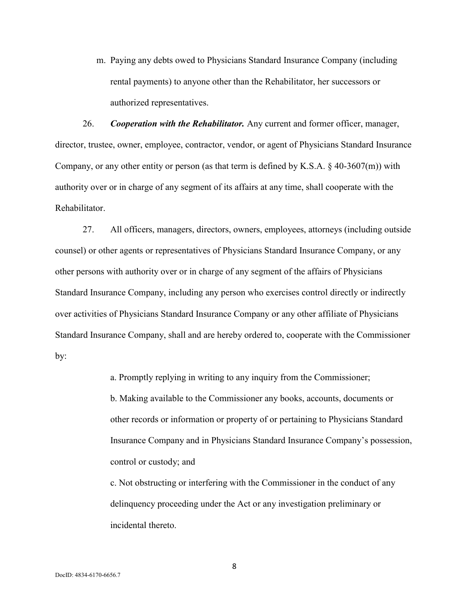m. Paying any debts owed to Physicians Standard Insurance Company (including rental payments) to anyone other than the Rehabilitator, her successors or authorized representatives.

26. *Cooperation with the Rehabilitator.* Any current and former officer, manager, director, trustee, owner, employee, contractor, vendor, or agent of Physicians Standard Insurance Company, or any other entity or person (as that term is defined by K.S.A.  $\S$  40-3607(m)) with authority over or in charge of any segment of its affairs at any time, shall cooperate with the Rehabilitator.

27. All officers, managers, directors, owners, employees, attorneys (including outside counsel) or other agents or representatives of Physicians Standard Insurance Company, or any other persons with authority over or in charge of any segment of the affairs of Physicians Standard Insurance Company, including any person who exercises control directly or indirectly over activities of Physicians Standard Insurance Company or any other affiliate of Physicians Standard Insurance Company, shall and are hereby ordered to, cooperate with the Commissioner by:

a. Promptly replying in writing to any inquiry from the Commissioner;

 b. Making available to the Commissioner any books, accounts, documents or other records or information or property of or pertaining to Physicians Standard Insurance Company and in Physicians Standard Insurance Company's possession, control or custody; and

 c. Not obstructing or interfering with the Commissioner in the conduct of any delinquency proceeding under the Act or any investigation preliminary or incidental thereto.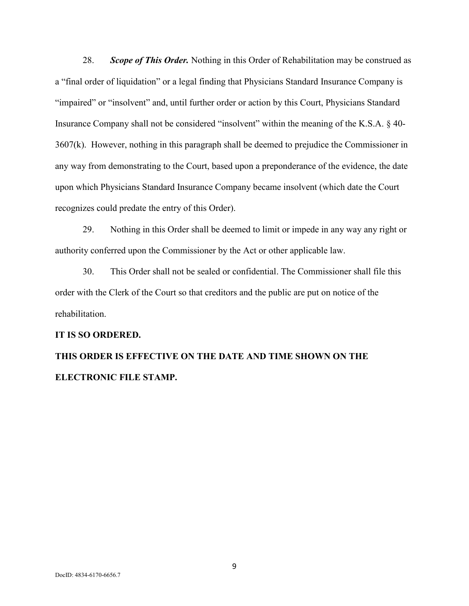28. *Scope of This Order.* Nothing in this Order of Rehabilitation may be construed as a "final order of liquidation" or a legal finding that Physicians Standard Insurance Company is "impaired" or "insolvent" and, until further order or action by this Court, Physicians Standard Insurance Company shall not be considered "insolvent" within the meaning of the K.S.A. § 40- 3607(k). However, nothing in this paragraph shall be deemed to prejudice the Commissioner in any way from demonstrating to the Court, based upon a preponderance of the evidence, the date upon which Physicians Standard Insurance Company became insolvent (which date the Court recognizes could predate the entry of this Order).

29. Nothing in this Order shall be deemed to limit or impede in any way any right or authority conferred upon the Commissioner by the Act or other applicable law.

30. This Order shall not be sealed or confidential. The Commissioner shall file this order with the Clerk of the Court so that creditors and the public are put on notice of the rehabilitation.

#### **IT IS SO ORDERED.**

# **THIS ORDER IS EFFECTIVE ON THE DATE AND TIME SHOWN ON THE ELECTRONIC FILE STAMP.**